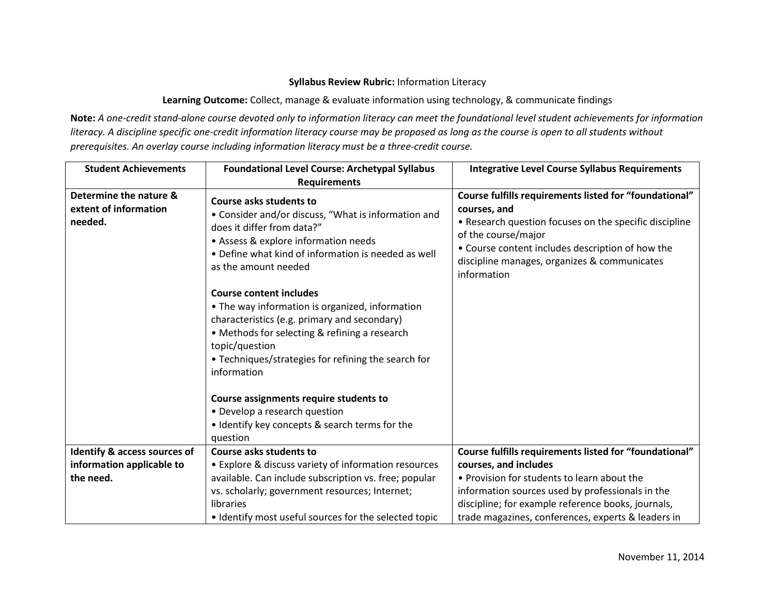## **Syllabus Review Rubric:** Information Literacy

**Learning Outcome:** Collect, manage & evaluate information using technology, & communicate findings

**Note:** *A one-credit stand-alone course devoted only to information literacy can meet the foundational level student achievements for information literacy. A discipline specific one-credit information literacy course may be proposed as long as the course is open to all students without prerequisites. An overlay course including information literacy must be a three-credit course.*

| <b>Student Achievements</b>                                | <b>Foundational Level Course: Archetypal Syllabus</b><br><b>Requirements</b>                                                                                                                                                                                               | <b>Integrative Level Course Syllabus Requirements</b>                                                                                                                                                                                                                      |
|------------------------------------------------------------|----------------------------------------------------------------------------------------------------------------------------------------------------------------------------------------------------------------------------------------------------------------------------|----------------------------------------------------------------------------------------------------------------------------------------------------------------------------------------------------------------------------------------------------------------------------|
| Determine the nature &<br>extent of information<br>needed. | Course asks students to<br>• Consider and/or discuss, "What is information and<br>does it differ from data?"<br>• Assess & explore information needs<br>• Define what kind of information is needed as well<br>as the amount needed                                        | Course fulfills requirements listed for "foundational"<br>courses, and<br>• Research question focuses on the specific discipline<br>of the course/major<br>• Course content includes description of how the<br>discipline manages, organizes & communicates<br>information |
|                                                            | <b>Course content includes</b><br>• The way information is organized, information<br>characteristics (e.g. primary and secondary)<br>• Methods for selecting & refining a research<br>topic/question<br>• Techniques/strategies for refining the search for<br>information |                                                                                                                                                                                                                                                                            |
|                                                            | Course assignments require students to<br>• Develop a research question<br>• Identify key concepts & search terms for the                                                                                                                                                  |                                                                                                                                                                                                                                                                            |
|                                                            | question<br>Course asks students to                                                                                                                                                                                                                                        |                                                                                                                                                                                                                                                                            |
| Identify & access sources of<br>information applicable to  | • Explore & discuss variety of information resources                                                                                                                                                                                                                       | Course fulfills requirements listed for "foundational"<br>courses, and includes                                                                                                                                                                                            |
| the need.                                                  | available. Can include subscription vs. free; popular                                                                                                                                                                                                                      | • Provision for students to learn about the                                                                                                                                                                                                                                |
|                                                            | vs. scholarly; government resources; Internet;                                                                                                                                                                                                                             | information sources used by professionals in the                                                                                                                                                                                                                           |
|                                                            | libraries                                                                                                                                                                                                                                                                  | discipline; for example reference books, journals,                                                                                                                                                                                                                         |
|                                                            | • Identify most useful sources for the selected topic                                                                                                                                                                                                                      | trade magazines, conferences, experts & leaders in                                                                                                                                                                                                                         |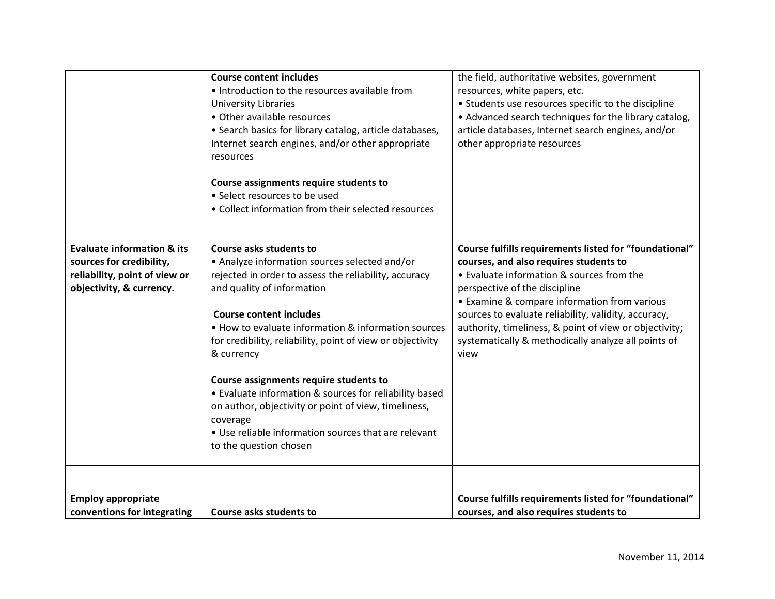|                                                                                                                                | <b>Course content includes</b><br>• Introduction to the resources available from<br><b>University Libraries</b><br>• Other available resources<br>• Search basics for library catalog, article databases,<br>Internet search engines, and/or other appropriate<br>resources<br>Course assignments require students to<br>• Select resources to be used<br>• Collect information from their selected resources                                                                                                                                                                                  | the field, authoritative websites, government<br>resources, white papers, etc.<br>• Students use resources specific to the discipline<br>• Advanced search techniques for the library catalog,<br>article databases, Internet search engines, and/or<br>other appropriate resources                                                                                                                             |
|--------------------------------------------------------------------------------------------------------------------------------|------------------------------------------------------------------------------------------------------------------------------------------------------------------------------------------------------------------------------------------------------------------------------------------------------------------------------------------------------------------------------------------------------------------------------------------------------------------------------------------------------------------------------------------------------------------------------------------------|-----------------------------------------------------------------------------------------------------------------------------------------------------------------------------------------------------------------------------------------------------------------------------------------------------------------------------------------------------------------------------------------------------------------|
| <b>Evaluate information &amp; its</b><br>sources for credibility,<br>reliability, point of view or<br>objectivity, & currency. | Course asks students to<br>• Analyze information sources selected and/or<br>rejected in order to assess the reliability, accuracy<br>and quality of information<br><b>Course content includes</b><br>• How to evaluate information & information sources<br>for credibility, reliability, point of view or objectivity<br>& currency<br>Course assignments require students to<br>• Evaluate information & sources for reliability based<br>on author, objectivity or point of view, timeliness,<br>coverage<br>• Use reliable information sources that are relevant<br>to the question chosen | Course fulfills requirements listed for "foundational"<br>courses, and also requires students to<br>• Evaluate information & sources from the<br>perspective of the discipline<br>• Examine & compare information from various<br>sources to evaluate reliability, validity, accuracy,<br>authority, timeliness, & point of view or objectivity;<br>systematically & methodically analyze all points of<br>view |
| <b>Employ appropriate</b><br>conventions for integrating                                                                       | Course asks students to                                                                                                                                                                                                                                                                                                                                                                                                                                                                                                                                                                        | Course fulfills requirements listed for "foundational"<br>courses, and also requires students to                                                                                                                                                                                                                                                                                                                |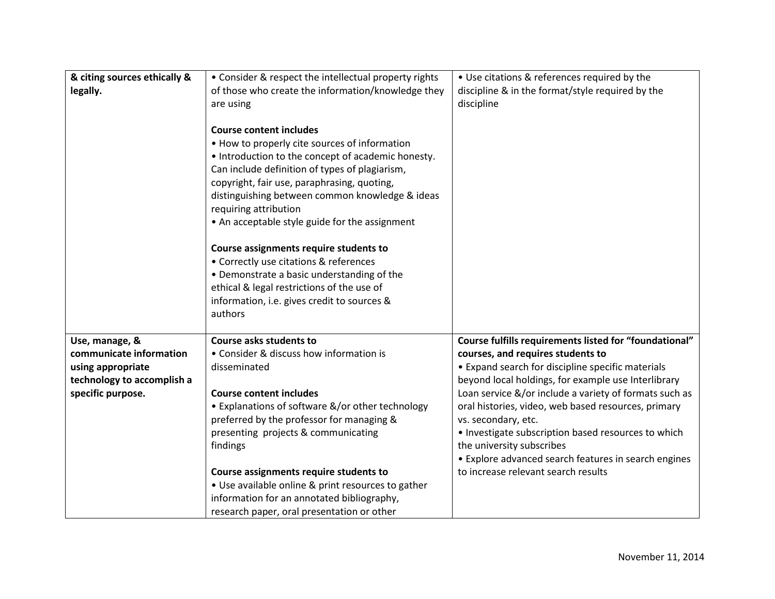| & citing sources ethically &<br>legally.                                                                          | • Consider & respect the intellectual property rights<br>of those who create the information/knowledge they<br>are using<br><b>Course content includes</b><br>• How to properly cite sources of information<br>• Introduction to the concept of academic honesty.<br>Can include definition of types of plagiarism,<br>copyright, fair use, paraphrasing, quoting,<br>distinguishing between common knowledge & ideas<br>requiring attribution<br>• An acceptable style guide for the assignment<br>Course assignments require students to<br>• Correctly use citations & references | • Use citations & references required by the<br>discipline & in the format/style required by the<br>discipline                                                                                                                                                                                                                                                                                                                                                                              |
|-------------------------------------------------------------------------------------------------------------------|--------------------------------------------------------------------------------------------------------------------------------------------------------------------------------------------------------------------------------------------------------------------------------------------------------------------------------------------------------------------------------------------------------------------------------------------------------------------------------------------------------------------------------------------------------------------------------------|---------------------------------------------------------------------------------------------------------------------------------------------------------------------------------------------------------------------------------------------------------------------------------------------------------------------------------------------------------------------------------------------------------------------------------------------------------------------------------------------|
|                                                                                                                   | • Demonstrate a basic understanding of the<br>ethical & legal restrictions of the use of<br>information, i.e. gives credit to sources &<br>authors                                                                                                                                                                                                                                                                                                                                                                                                                                   |                                                                                                                                                                                                                                                                                                                                                                                                                                                                                             |
| Use, manage, &<br>communicate information<br>using appropriate<br>technology to accomplish a<br>specific purpose. | Course asks students to<br>• Consider & discuss how information is<br>disseminated<br><b>Course content includes</b><br>• Explanations of software &/or other technology<br>preferred by the professor for managing &<br>presenting projects & communicating<br>findings                                                                                                                                                                                                                                                                                                             | Course fulfills requirements listed for "foundational"<br>courses, and requires students to<br>• Expand search for discipline specific materials<br>beyond local holdings, for example use Interlibrary<br>Loan service &/or include a variety of formats such as<br>oral histories, video, web based resources, primary<br>vs. secondary, etc.<br>• Investigate subscription based resources to which<br>the university subscribes<br>• Explore advanced search features in search engines |
|                                                                                                                   | Course assignments require students to<br>• Use available online & print resources to gather<br>information for an annotated bibliography,<br>research paper, oral presentation or other                                                                                                                                                                                                                                                                                                                                                                                             | to increase relevant search results                                                                                                                                                                                                                                                                                                                                                                                                                                                         |